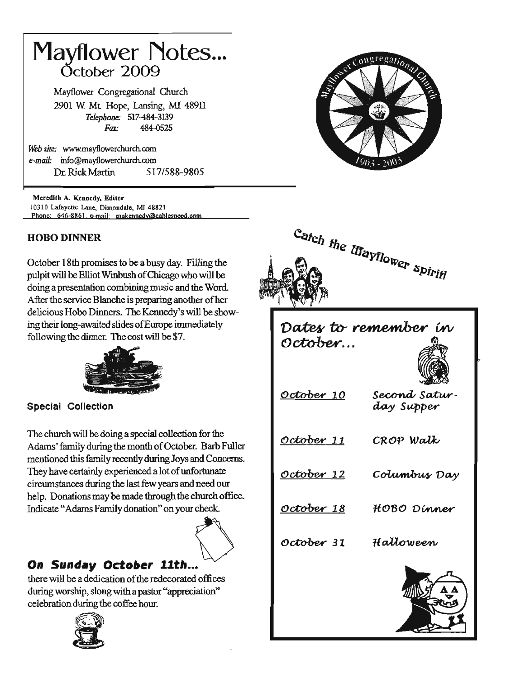# Mayflower Notes... October 2OOg

Mayflower Congregational Church 2901 W. Mt. Hope, Lansing, MI 48911 Telephone: 517-484-3139 Fax: 484-0525

Web site: www.mayflowerchurch.com e-mail: info@mayflowerchurch.com Dr.RickMartin 5171588-9805

Mcredith A. Kennedy, Editor 10310 Lafayette Lane, Dimondale, MI 48821 Phone: 646-8861 e-mail: makennedy@cablespeed.com

### HOBO DINNER

October 18th promises to be a busy day. Filling the pulpit will be Elliot Winbush of Chicago who will be doing a presentation combining music and the Word. After the service Blanche is preparing another of her delicious Hobo Dinners. The Kennedy's will be showing their long-awaited slides ofEunope immediately following the dinner. The cost will be \$7.



Special Collection

The church will be doing a special collection for the Adams' family during the month of October. Barb Fuller mentioned this family recently during Joys and Concerns. They have certainly experienced a lot of unfortunate circumstances during the last few years and need our help. Donations may be made through the church office. Indicate "Adams Family donation" on your check.



## On Sunday October 11th...

there will be a dedication of the redecorated offices during worship, slong with a pastor "appreciation" celebration during the coffee hour.







# Dates to remember in<br>October...



s<mark>econd</mark> satur-October 10 day Supper CRo? Walk' October 11 October 12 Columbus Day October 18 HOBO Dinner October 31 Hattoween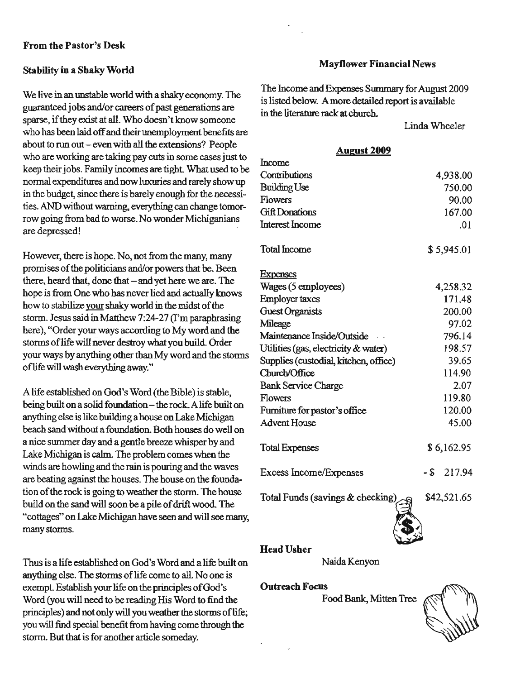#### From the Pastor's Desk

#### Stability in a Shaky World

We live in an unstable world with a shaky economy. The guaranteed jobs and/or careers of past generations are sparse, if they exist at all. Who doesn't know someone who has been laid off and their unemployment benefits are about to run out - even with all the extensions? People who are working are taking pay cuts in some cases just to keep their jobs. Family incomes are tight. What used to be normal expenditures and now luxuries and rarely show up in the budget, since there is barely enough for the necessities. AND without warning, everything can change tomorrow going from bad to worse. No wonder Michiganians are depressed!

However, there is hope. No, not from the many, many promises of the politicians and/or powers that be. Been there, heard that, done that  $-$  and yet here we are. The hope is from One who has never lied and actually knows how to stabilize your shaky world in the midst of the storm. Jesus said in Matthew 7:24-27 (I'm paraphrasing here), "Order your ways according to My word and the storms of life will never destroy what you build. Order your ways by anything other than My word and the stomrs of life will wash everything away."

Alife established on God's Word (the Bible) is stable, being built on a solid foundation - the rock. A life built on anything else is like building a house on Iake Michigan beach sand without a foundation. Both houses do well on a nice summer day and a gentle breeze whisper by and Lake Michigan is calm. The problem comes when the winds are howling and the rain is pouring and the waves are beating against the houses. The house on the foundation of the rock is going to weather the storm. The house build on the sand will soon be a pile of drift wood. The "cottages" on lake Michigan have seen and will see many, many storms.

Thus is a life established on God's Word and a life built on anything else. The storms of life come to all. No one is exempt. Establish your life on the principles of God's Word (you will need to be reading His Word to find the principles) and not only will you weather the storms of life; you will find special benefit from having come through the storm. But that is for another article someday.

#### **Mayflower Financial News**

The Income and Expenses Summary for August 2009 is listed below. Amore detailed report is available in the literature rack at church.

LindaWheeler

#### August 2009

| Income                                |               |
|---------------------------------------|---------------|
| Contributions                         | 4,938.00      |
| <b>Building Use</b>                   | 750.00        |
| <b>Flowers</b>                        | 90.00         |
| <b>Gift Donations</b>                 | 167.00        |
| Interest Income                       | .01           |
| <b>Total Income</b>                   | \$5,945.01    |
| <b>Expenses</b>                       |               |
| Wages (5 employees)                   | 4,258.32      |
| Employer taxes                        | 171.48        |
| <b>Guest Organists</b>                | 200.00        |
| Mileage                               | 97.02         |
| Maintenance Inside/Outside            | 796.14        |
| Utilities (gas, electricity & water)  | 198.57        |
| Supplies (custodial, kitchen, office) | 39.65         |
| Church/Office                         | 114.90        |
| <b>Bank Service Charge</b>            | 2.07          |
| Flowers                               | 119.80        |
| Furniture for pastor's office         | 120.00        |
| <b>Advent House</b>                   | 45.00         |
| <b>Total Expenses</b>                 | \$6,162.95    |
| Excess Income/Expenses                | $-$ \$ 217.94 |
| Total Funds (savings & checking)      | \$42,521.65   |
|                                       |               |

#### Head Usher

NaidaKenyon

#### **Outreach Focus**

Food Bank, Mitten Tree